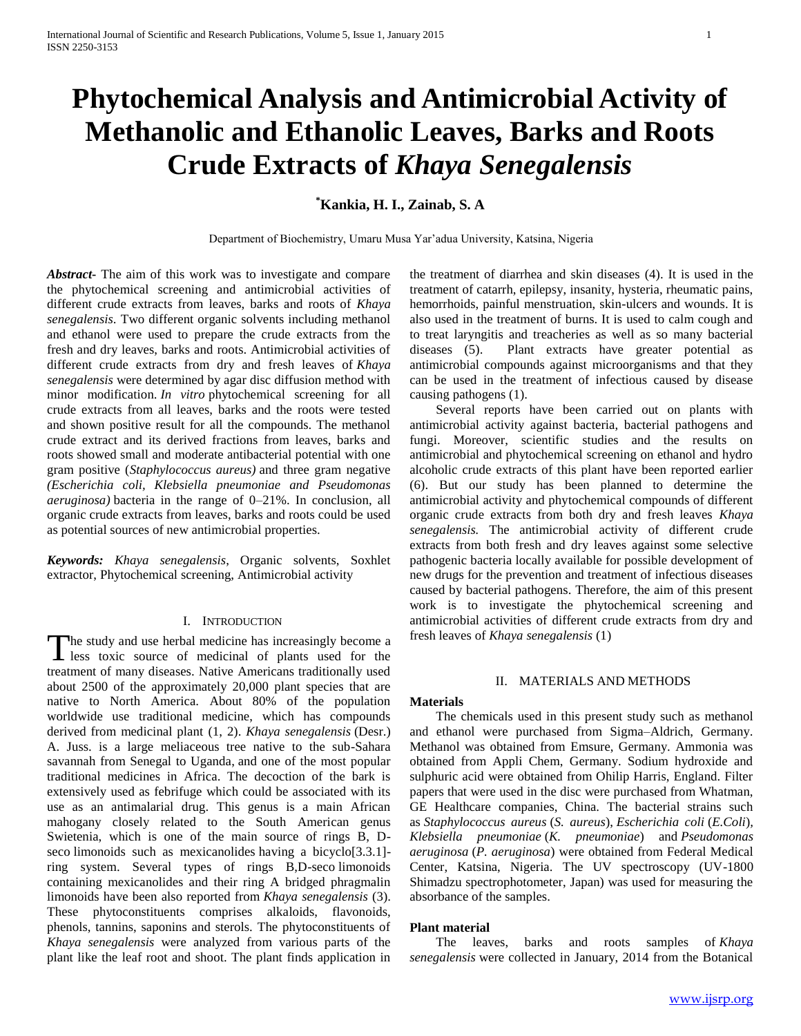# **Phytochemical Analysis and Antimicrobial Activity of Methanolic and Ethanolic Leaves, Barks and Roots Crude Extracts of** *Khaya Senegalensis*

# **\*Kankia, H. I., Zainab, S. A**

Department of Biochemistry, Umaru Musa Yar'adua University, Katsina, Nigeria

*Abstract***-** The aim of this work was to investigate and compare the phytochemical screening and antimicrobial activities of different crude extracts from leaves, barks and roots of *Khaya senegalensis*. Two different organic solvents including methanol and ethanol were used to prepare the crude extracts from the fresh and dry leaves, barks and roots. Antimicrobial activities of different crude extracts from dry and fresh leaves of *Khaya senegalensis* were determined by agar disc diffusion method with minor modification. *In vitro* phytochemical screening for all crude extracts from all leaves, barks and the roots were tested and shown positive result for all the compounds. The methanol crude extract and its derived fractions from leaves, barks and roots showed small and moderate antibacterial potential with one gram positive (*Staphylococcus aureus)* and three gram negative *(Escherichia coli, Klebsiella pneumoniae and Pseudomonas aeruginosa)* bacteria in the range of 0–21%. In conclusion, all organic crude extracts from leaves, barks and roots could be used as potential sources of new antimicrobial properties.

*Keywords: Khaya senegalensis*, Organic solvents, Soxhlet extractor, Phytochemical screening, Antimicrobial activity

#### I. INTRODUCTION

he study and use herbal medicine has increasingly become a The study and use herbal medicine has increasingly become a<br>less toxic source of medicinal of plants used for the treatment of many diseases. Native Americans traditionally used about 2500 of the approximately 20,000 plant species that are native to North America. About 80% of the population worldwide use traditional medicine, which has compounds derived from medicinal plant (1, 2). *Khaya senegalensis* (Desr.) A. Juss. is a large meliaceous tree native to the sub-Sahara savannah from Senegal to Uganda, and one of the most popular traditional medicines in Africa. The decoction of the bark is extensively used as febrifuge which could be associated with its use as an antimalarial drug. This genus is a main African mahogany closely related to the South American genus Swietenia, which is one of the main source of rings B, Dseco limonoids such as mexicanolides having a bicyclo[3.3.1]ring system. Several types of rings B,D-seco limonoids containing mexicanolides and their ring A bridged phragmalin limonoids have been also reported from *Khaya senegalensis* (3). These phytoconstituents comprises alkaloids, flavonoids, phenols, tannins, saponins and sterols. The phytoconstituents of *Khaya senegalensis* were analyzed from various parts of the plant like the leaf root and shoot. The plant finds application in

the treatment of diarrhea and skin diseases (4). It is used in the treatment of catarrh, epilepsy, insanity, hysteria, rheumatic pains, hemorrhoids, painful menstruation, skin-ulcers and wounds. It is also used in the treatment of burns. It is used to calm cough and to treat laryngitis and treacheries as well as so many bacterial diseases (5). Plant extracts have greater potential as antimicrobial compounds against microorganisms and that they can be used in the treatment of infectious caused by disease causing pathogens (1).

 Several reports have been carried out on plants with antimicrobial activity against bacteria, bacterial pathogens and fungi. Moreover, scientific studies and the results on antimicrobial and phytochemical screening on ethanol and hydro alcoholic crude extracts of this plant have been reported earlier (6). But our study has been planned to determine the antimicrobial activity and phytochemical compounds of different organic crude extracts from both dry and fresh leaves *Khaya senegalensis.* The antimicrobial activity of different crude extracts from both fresh and dry leaves against some selective pathogenic bacteria locally available for possible development of new drugs for the prevention and treatment of infectious diseases caused by bacterial pathogens. Therefore, the aim of this present work is to investigate the phytochemical screening and antimicrobial activities of different crude extracts from dry and fresh leaves of *Khaya senegalensis* (1)

#### II. MATERIALS AND METHODS

#### **Materials**

 The chemicals used in this present study such as methanol and ethanol were purchased from Sigma–Aldrich, Germany. Methanol was obtained from Emsure, Germany. Ammonia was obtained from Appli Chem, Germany. Sodium hydroxide and sulphuric acid were obtained from Ohilip Harris, England. Filter papers that were used in the disc were purchased from Whatman, GE Healthcare companies, China. The bacterial strains such as *Staphylococcus aureus* (*S. aureus*), *Escherichia coli* (*E.Coli*)*, Klebsiella pneumoniae* (*K. pneumoniae*) and *Pseudomonas aeruginosa* (*P. aeruginosa*) were obtained from Federal Medical Center, Katsina, Nigeria. The UV spectroscopy (UV-1800 Shimadzu spectrophotometer, Japan) was used for measuring the absorbance of the samples.

#### **Plant material**

 The leaves, barks and roots samples of *Khaya senegalensis* were collected in January, 2014 from the Botanical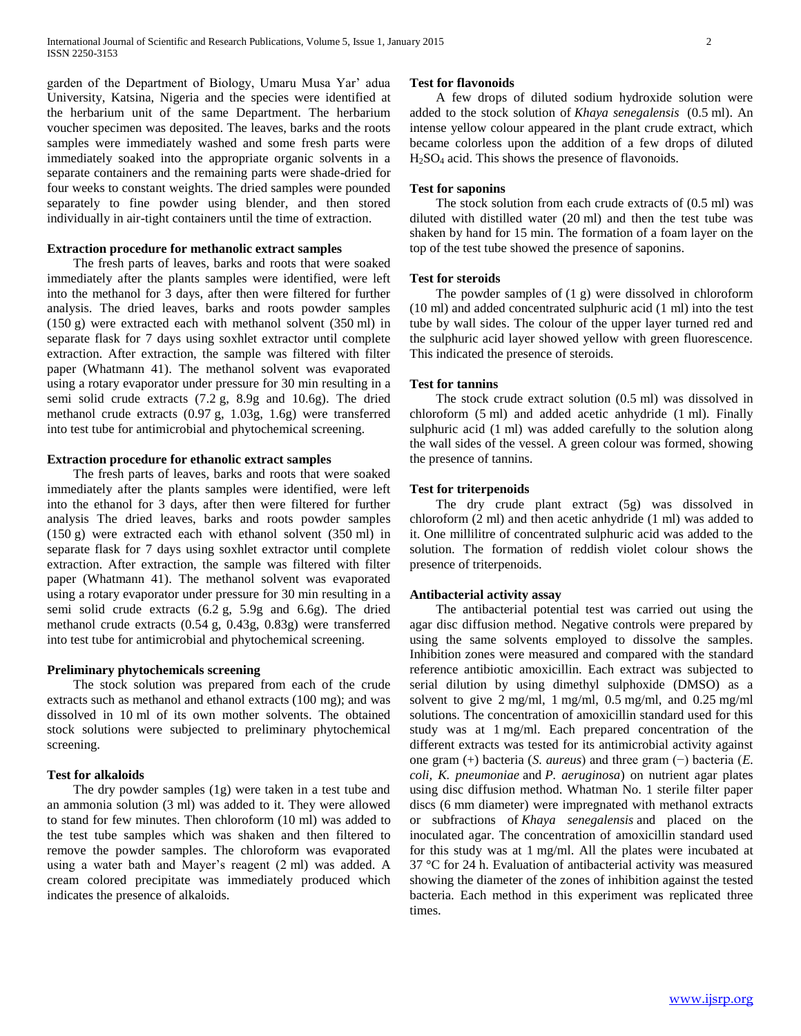garden of the Department of Biology, Umaru Musa Yar' adua University, Katsina, Nigeria and the species were identified at the herbarium unit of the same Department. The herbarium voucher specimen was deposited. The leaves, barks and the roots samples were immediately washed and some fresh parts were immediately soaked into the appropriate organic solvents in a separate containers and the remaining parts were shade-dried for four weeks to constant weights. The dried samples were pounded separately to fine powder using blender, and then stored individually in air-tight containers until the time of extraction.

#### **Extraction procedure for methanolic extract samples**

 The fresh parts of leaves, barks and roots that were soaked immediately after the plants samples were identified, were left into the methanol for 3 days, after then were filtered for further analysis. The dried leaves, barks and roots powder samples (150 g) were extracted each with methanol solvent (350 ml) in separate flask for 7 days using soxhlet extractor until complete extraction. After extraction, the sample was filtered with filter paper (Whatmann 41). The methanol solvent was evaporated using a rotary evaporator under pressure for 30 min resulting in a semi solid crude extracts (7.2 g, 8.9g and 10.6g). The dried methanol crude extracts (0.97 g, 1.03g, 1.6g) were transferred into test tube for antimicrobial and phytochemical screening.

#### **Extraction procedure for ethanolic extract samples**

 The fresh parts of leaves, barks and roots that were soaked immediately after the plants samples were identified, were left into the ethanol for 3 days, after then were filtered for further analysis The dried leaves, barks and roots powder samples (150 g) were extracted each with ethanol solvent (350 ml) in separate flask for 7 days using soxhlet extractor until complete extraction. After extraction, the sample was filtered with filter paper (Whatmann 41). The methanol solvent was evaporated using a rotary evaporator under pressure for 30 min resulting in a semi solid crude extracts (6.2 g, 5.9g and 6.6g). The dried methanol crude extracts (0.54 g, 0.43g, 0.83g) were transferred into test tube for antimicrobial and phytochemical screening.

#### **Preliminary phytochemicals screening**

 The stock solution was prepared from each of the crude extracts such as methanol and ethanol extracts (100 mg); and was dissolved in 10 ml of its own mother solvents. The obtained stock solutions were subjected to preliminary phytochemical screening.

#### **Test for alkaloids**

 The dry powder samples (1g) were taken in a test tube and an ammonia solution (3 ml) was added to it. They were allowed to stand for few minutes. Then chloroform (10 ml) was added to the test tube samples which was shaken and then filtered to remove the powder samples. The chloroform was evaporated using a water bath and Mayer's reagent (2 ml) was added. A cream colored precipitate was immediately produced which indicates the presence of alkaloids.

#### **Test for flavonoids**

 A few drops of diluted sodium hydroxide solution were added to the stock solution of *Khaya senegalensis* (0.5 ml). An intense yellow colour appeared in the plant crude extract, which became colorless upon the addition of a few drops of diluted H2SO<sup>4</sup> acid. This shows the presence of flavonoids.

#### **Test for saponins**

 The stock solution from each crude extracts of (0.5 ml) was diluted with distilled water (20 ml) and then the test tube was shaken by hand for 15 min. The formation of a foam layer on the top of the test tube showed the presence of saponins.

#### **Test for steroids**

 The powder samples of (1 g) were dissolved in chloroform (10 ml) and added concentrated sulphuric acid (1 ml) into the test tube by wall sides. The colour of the upper layer turned red and the sulphuric acid layer showed yellow with green fluorescence. This indicated the presence of steroids.

#### **Test for tannins**

 The stock crude extract solution (0.5 ml) was dissolved in chloroform (5 ml) and added acetic anhydride (1 ml). Finally sulphuric acid (1 ml) was added carefully to the solution along the wall sides of the vessel. A green colour was formed, showing the presence of tannins.

#### **Test for triterpenoids**

 The dry crude plant extract (5g) was dissolved in chloroform (2 ml) and then acetic anhydride (1 ml) was added to it. One millilitre of concentrated sulphuric acid was added to the solution. The formation of reddish violet colour shows the presence of triterpenoids.

#### **Antibacterial activity assay**

 The antibacterial potential test was carried out using the agar disc diffusion method. Negative controls were prepared by using the same solvents employed to dissolve the samples. Inhibition zones were measured and compared with the standard reference antibiotic amoxicillin. Each extract was subjected to serial dilution by using dimethyl sulphoxide (DMSO) as a solvent to give 2 mg/ml, 1 mg/ml, 0.5 mg/ml, and 0.25 mg/ml solutions. The concentration of amoxicillin standard used for this study was at 1 mg/ml. Each prepared concentration of the different extracts was tested for its antimicrobial activity against one gram (+) bacteria (*S. aureus*) and three gram (−) bacteria (*E. coli, K. pneumoniae* and *P. aeruginosa*) on nutrient agar plates using disc diffusion method. Whatman No. 1 sterile filter paper discs (6 mm diameter) were impregnated with methanol extracts or subfractions of *Khaya senegalensis* and placed on the inoculated agar. The concentration of amoxicillin standard used for this study was at 1 mg/ml. All the plates were incubated at 37 °C for 24 h. Evaluation of antibacterial activity was measured showing the diameter of the zones of inhibition against the tested bacteria. Each method in this experiment was replicated three times.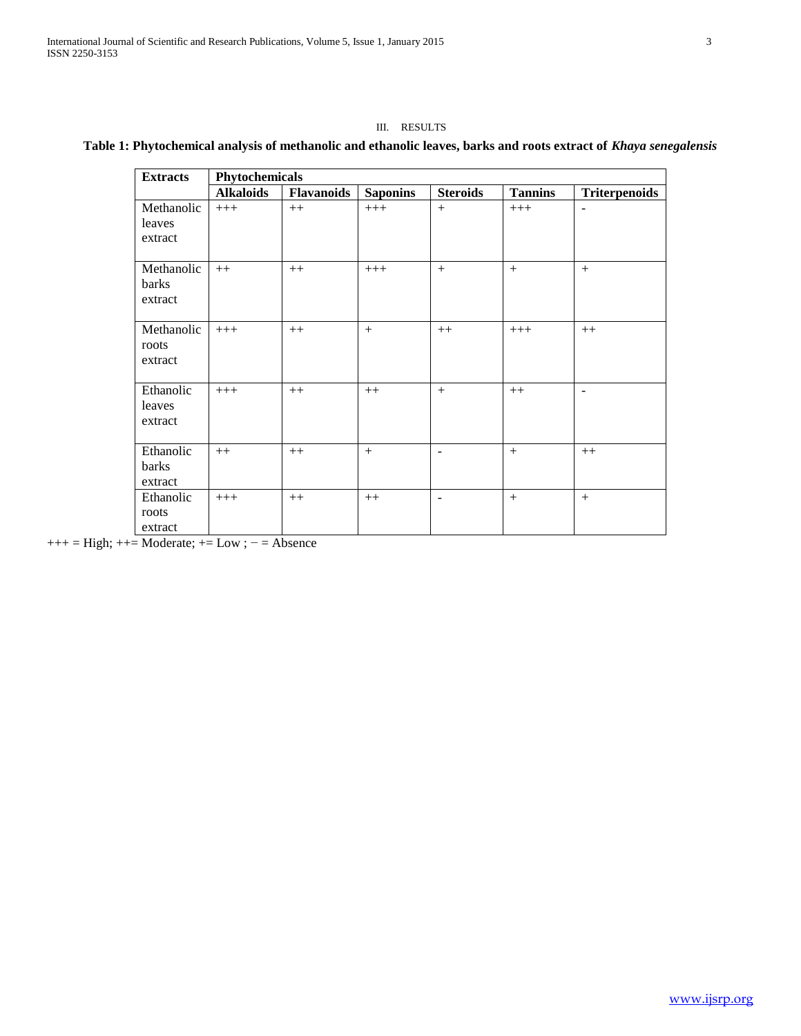#### III. RESULTS

### **Table 1: Phytochemical analysis of methanolic and ethanolic leaves, barks and roots extract of** *Khaya senegalensis*

| <b>Extracts</b> | Phytochemicals   |      |                 |                 |                |                          |  |  |  |  |  |
|-----------------|------------------|------|-----------------|-----------------|----------------|--------------------------|--|--|--|--|--|
|                 | <b>Alkaloids</b> |      | <b>Saponins</b> | <b>Steroids</b> | <b>Tannins</b> | <b>Triterpenoids</b>     |  |  |  |  |  |
| Methanolic      | $+++$            | $++$ | $+++$           | $+$             | $+++$          | $\overline{\phantom{a}}$ |  |  |  |  |  |
| leaves          |                  |      |                 |                 |                |                          |  |  |  |  |  |
| extract         |                  |      |                 |                 |                |                          |  |  |  |  |  |
|                 |                  |      |                 |                 |                |                          |  |  |  |  |  |
| Methanolic      | $++$             | $++$ | $+++$           | $+$             | $+$            | $+$                      |  |  |  |  |  |
| barks           |                  |      |                 |                 |                |                          |  |  |  |  |  |
| extract         |                  |      |                 |                 |                |                          |  |  |  |  |  |
|                 |                  |      |                 |                 |                |                          |  |  |  |  |  |
| Methanolic      | $+++$            | $++$ | $+$             | $++$            | $+++$          | $++$                     |  |  |  |  |  |
| roots           |                  |      |                 |                 |                |                          |  |  |  |  |  |
| extract         |                  |      |                 |                 |                |                          |  |  |  |  |  |
|                 |                  |      |                 |                 |                |                          |  |  |  |  |  |
| Ethanolic       | $+++$            | $++$ | $++$            | $+$             | $++$           | $\blacksquare$           |  |  |  |  |  |
| leaves          |                  |      |                 |                 |                |                          |  |  |  |  |  |
| extract         |                  |      |                 |                 |                |                          |  |  |  |  |  |
|                 |                  |      |                 |                 |                |                          |  |  |  |  |  |
| Ethanolic       | $++$             | $++$ | $+$             | $\blacksquare$  | $+$            | $++$                     |  |  |  |  |  |
| barks           |                  |      |                 |                 |                |                          |  |  |  |  |  |
| extract         |                  |      |                 |                 |                |                          |  |  |  |  |  |
| Ethanolic       | $+++$            | $++$ | $++$            | $\blacksquare$  | $+$            | $+$                      |  |  |  |  |  |
| roots           |                  |      |                 |                 |                |                          |  |  |  |  |  |
| extract         |                  |      |                 |                 |                |                          |  |  |  |  |  |

 $+++$  = High;  $++$  = Moderate;  $+=$  Low ;  $=$  Absence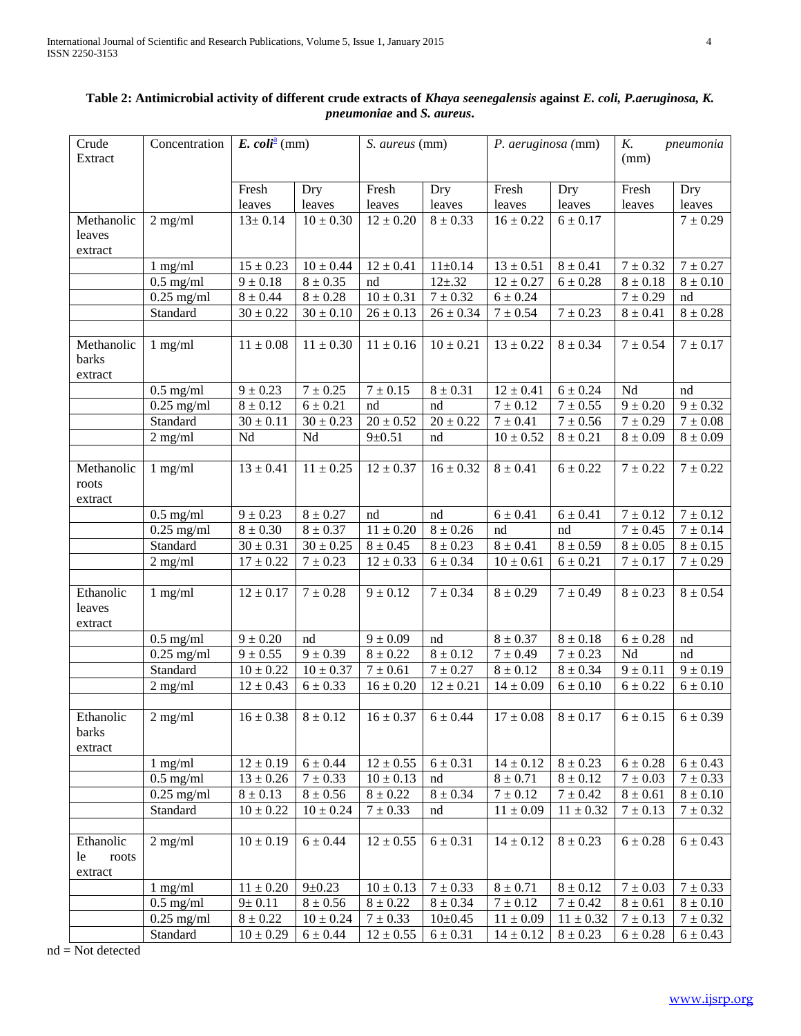| Crude<br>Extract                    | Concentration                    | E. coli <sup>a</sup> (mm)    |                         | S. aureus (mm)          |               | P. aeruginosa (mm)           |               | K.<br>pneumonia<br>(mm) |              |
|-------------------------------------|----------------------------------|------------------------------|-------------------------|-------------------------|---------------|------------------------------|---------------|-------------------------|--------------|
|                                     |                                  | Fresh                        | Dry                     | Fresh                   | Dry           | Fresh                        | Dry           | Fresh                   | Dry          |
|                                     |                                  | leaves                       | leaves                  | leaves                  | leaves        | leaves                       | leaves        | leaves                  | leaves       |
| Methanolic                          | $2$ mg/ml                        | $13 \pm 0.14$                | $10 \pm 0.30$           | $12 \pm 0.20$           | $8 \pm 0.33$  | $16 \pm 0.22$                | $6 \pm 0.17$  |                         | $7 \pm 0.29$ |
| leaves<br>extract                   |                                  |                              |                         |                         |               |                              |               |                         |              |
|                                     | $1$ mg/ml                        | $15 \pm 0.23$                | $10 \pm 0.44$           | $12 \pm 0.41$           | $11 \pm 0.14$ | $13 \pm 0.51$                | $8 \pm 0.41$  | $7 \pm 0.32$            | $7\pm0.27$   |
|                                     | $0.5$ mg/ml                      | $9 \pm 0.18$                 | $8 \pm 0.35$            | nd                      | $12 + .32$    | $12 \pm 0.27$                | $6 \pm 0.28$  | $8 \pm 0.18$            | $8\pm0.10$   |
|                                     | $0.25$ mg/ml                     | $8 \pm 0.44$                 | $8\pm0.28$              | $10 \pm 0.31$           | $7 \pm 0.32$  | $6 \pm 0.24$                 |               | $7 \pm 0.29$            | nd           |
|                                     | Standard                         | $30 \pm 0.22$                | $30\pm0.10$             | $26 \pm 0.13$           | $26\pm0.34$   | $7 \pm 0.54$                 | $7\pm0.23$    | $8 \pm 0.41$            | $8\pm0.28$   |
|                                     |                                  |                              |                         |                         |               |                              |               |                         |              |
| Methanolic<br>barks<br>extract      | $1$ mg/ml                        | $11\pm0.08$                  | $11 \pm 0.30$           | $11 \pm 0.16$           | $10 \pm 0.21$ | $13 \pm 0.22$                | $8 \pm 0.34$  | $7 \pm 0.54$            | $7 \pm 0.17$ |
|                                     | $0.5$ mg/ml                      | $9 \pm 0.23$                 | $7\pm0.25$              | $7\pm0.15$              | $8 \pm 0.31$  | $12 \pm 0.41$                | $6 \pm 0.24$  | Nd                      | nd           |
|                                     | $0.25$ mg/ml                     | $8 \pm 0.12$                 | $6 \pm 0.21$            | nd                      | nd            | $7\pm0.12$                   | $7\pm0.55$    | $9 \pm 0.20$            | $9 \pm 0.32$ |
|                                     | Standard                         | $\overline{30} \pm 0.11$     | $30 \pm 0.23$           | $20 \pm 0.52$           | $20 \pm 0.22$ | $7 \pm 0.41$                 | $7\pm0.56$    | $\frac{1}{7} \pm 0.29$  | $7\pm0.08$   |
|                                     | $2$ mg/ml                        | Nd                           | Nd                      | $9 \pm 0.51$            | nd            | $10 \pm 0.52$                | $8 \pm 0.21$  | $8 \pm 0.09$            | $8 \pm 0.09$ |
|                                     |                                  |                              |                         |                         |               |                              |               |                         |              |
| Methanolic<br>roots<br>extract      | $1$ mg/ml                        | $13 \pm 0.41$                | $\frac{11 \pm 0.25}{2}$ | $12 \pm 0.37$           | $16 \pm 0.32$ | $8 \pm 0.41$                 | $6 \pm 0.22$  | $\frac{1}{7}$ ± 0.22    | $7 \pm 0.22$ |
|                                     | $0.5$ mg/ml                      | $9 \pm 0.23$                 | $8 \pm 0.27$            | nd                      | nd            | $6 \pm 0.41$                 | $6 \pm 0.41$  | $7\pm0.12$              | $7 \pm 0.12$ |
|                                     | $0.25$ mg/ml                     | $8 \pm 0.30$                 | $8 \pm 0.37$            | $11\pm0.20$             | $8 \pm 0.26$  | nd                           | nd            | $7 \pm 0.45$            | $7 \pm 0.14$ |
|                                     | Standard                         | $30 \pm 0.31$                | $30 \pm 0.25$           | $8 \pm 0.45$            | $8 \pm 0.23$  | $8 \pm 0.41$                 | $8 \pm 0.59$  | $8\pm0.05$              | $8 \pm 0.15$ |
|                                     | $2$ mg/ml                        | $17 \pm 0.22$                | $7\pm0.23$              | $12 \pm 0.33$           | $6 \pm 0.34$  | $10\pm0.61$                  | $6 \pm 0.21$  | $7\pm0.17$              | $7\pm0.29$   |
| Ethanolic<br>leaves<br>extract      | $1$ mg/ml                        | $12 \pm 0.17$                | $7 \pm 0.28$            | $9 \pm 0.12$            | $7 \pm 0.34$  | $8 \pm 0.29$                 | $7 \pm 0.49$  | $8 \pm 0.23$            | $8 \pm 0.54$ |
|                                     | $0.5$ mg/ml                      | $9 \pm 0.20$                 | nd                      | $9 \pm 0.09$            | nd            | $8 \pm 0.37$                 | $8 \pm 0.18$  | $6\pm0.28$              | nd           |
|                                     | $0.25$ mg/ml                     | $9 \pm 0.55$                 | $9 \pm 0.39$            | $8 \pm 0.22$            | $8 \pm 0.12$  | $7\pm0.49$                   | $7 \pm 0.23$  | Nd                      | nd           |
|                                     | Standard                         | $10 \pm 0.22$                | $10 \pm 0.37$           | $7 \pm 0.61$            | $7 \pm 0.27$  | $8 \pm 0.12$                 | $8 \pm 0.34$  | $9 \pm 0.11$            | $9 \pm 0.19$ |
|                                     | $2$ mg/ml                        | $12 \pm 0.43$                | $6\pm0.33$              | $16 \pm 0.20$           | $12 \pm 0.21$ | $14 \pm 0.09$                | $6 \pm 0.10$  | $6 \pm 0.22$            | $6\pm0.10$   |
| Ethanolic<br>barks<br>extract       | $2$ mg/ml                        | $16 \pm 0.38$   $8 \pm 0.12$ |                         | $16 \pm 0.37$ 6 ± 0.44  |               | $17 \pm 0.08$   $8 \pm 0.17$ |               | $6 \pm 0.15$            | $6 \pm 0.39$ |
|                                     | $1$ mg/ml                        | $12 \pm 0.19$                | $6 \pm 0.44$            | $12 \pm 0.55$           | $6 \pm 0.31$  | $14 \pm 0.12$                | $8 \pm 0.23$  | $6 \pm 0.28$            | $6 \pm 0.43$ |
|                                     | $0.5$ mg/ml                      | $13 \pm 0.26$                | $7\pm0.33$              | $10 \pm 0.13$           | nd            | $8\pm0.71$                   | $8 \pm 0.12$  | $7 \pm 0.03$            | $7\pm0.33$   |
|                                     | $0.25 \overline{\mathrm{mg/ml}}$ | $8\pm0.13$                   | $8\pm0.56$              | $8\pm0.22$              | $8 \pm 0.34$  | $7 \pm 0.12$                 | $7\pm0.42$    | $8 \pm 0.61$            | $8 \pm 0.10$ |
|                                     | Standard                         | $10 \pm 0.22$                | $10 \pm 0.24$           | $7 \pm 0.33$            | nd            | $11\pm0.09$                  | $11 \pm 0.32$ | $7 \pm 0.13$            | $7\pm0.32$   |
|                                     |                                  |                              |                         |                         |               |                              |               |                         |              |
| Ethanolic<br>le<br>roots<br>extract | $2$ mg/ml                        | $10 \pm 0.19$                | $6 \pm 0.44$            | $12 \pm 0.55$           | $6 \pm 0.31$  | $14 \pm 0.12$                | $8\pm0.23$    | $6 \pm 0.28$            | $6 \pm 0.43$ |
|                                     | $1$ mg/ml                        | $11\pm0.20$                  | $9 \pm 0.23$            | $10 \pm 0.13$           | $7 \pm 0.33$  | $8\pm0.71$                   | $8\pm0.12$    | $7\pm0.03$              | $7 \pm 0.33$ |
|                                     | $0.5 \text{ mg/ml}$              | $9 \pm 0.11$                 | $8\pm0.56$              | $\overline{8} \pm 0.22$ | $8 \pm 0.34$  | $7\pm0.12$                   | $7\pm0.42$    | $8 \pm 0.61$            | $8 \pm 0.10$ |
|                                     | $0.25$ mg/ml                     | $8\pm0.22$                   | $10 \pm 0.24$           | $7\pm0.33$              | $10 \pm 0.45$ | $11\pm0.09$                  | $11 \pm 0.32$ | $7\pm0.13$              | $7 \pm 0.32$ |
|                                     | Standard                         | $10 \pm 0.29$                | $6 \pm 0.44$            | $12 \pm 0.55$           | $6 \pm 0.31$  | $14 \pm 0.12$                | $8 \pm 0.23$  | $6 \pm 0.28$            | $6 \pm 0.43$ |

## **Table 2: Antimicrobial activity of different crude extracts of** *Khaya seenegalensis* **against** *E. coli, P.aeruginosa, K. pneumoniae* **and** *S. aureus***.**

 $nd = Not detected$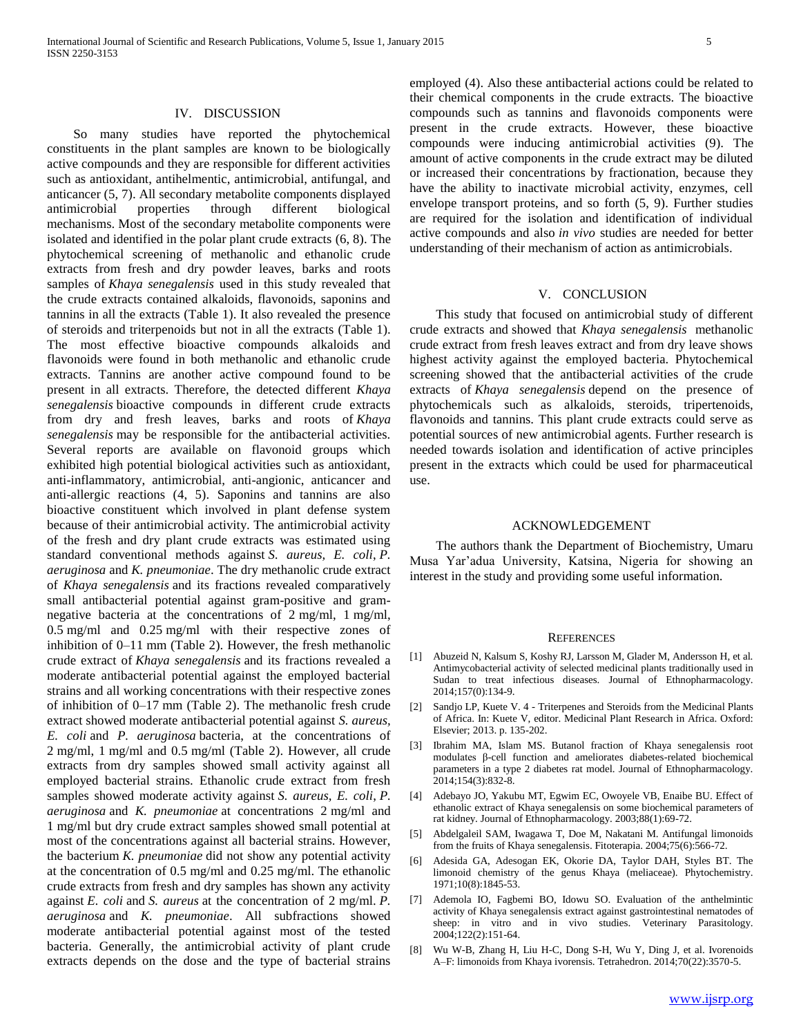#### IV. DISCUSSION

 So many studies have reported the phytochemical constituents in the plant samples are known to be biologically active compounds and they are responsible for different activities such as antioxidant, antihelmentic, antimicrobial, antifungal, and anticancer (5, 7). All secondary metabolite components displayed antimicrobial properties through different biological mechanisms. Most of the secondary metabolite components were isolated and identified in the polar plant crude extracts (6, 8). The phytochemical screening of methanolic and ethanolic crude extracts from fresh and dry powder leaves, barks and roots samples of *Khaya senegalensis* used in this study revealed that the crude extracts contained alkaloids, flavonoids, saponins and tannins in all the extracts (Table 1). It also revealed the presence of steroids and triterpenoids but not in all the extracts (Table 1). The most effective bioactive compounds alkaloids and flavonoids were found in both methanolic and ethanolic crude extracts. Tannins are another active compound found to be present in all extracts. Therefore, the detected different *Khaya senegalensis* bioactive compounds in different crude extracts from dry and fresh leaves, barks and roots of *Khaya senegalensis* may be responsible for the antibacterial activities. Several reports are available on flavonoid groups which exhibited high potential biological activities such as antioxidant, anti-inflammatory, antimicrobial, anti-angionic, anticancer and anti-allergic reactions (4, 5). Saponins and tannins are also bioactive constituent which involved in plant defense system because of their antimicrobial activity. The antimicrobial activity of the fresh and dry plant crude extracts was estimated using standard conventional methods against *S. aureus, E. coli*, *P. aeruginosa* and *K. pneumoniae*. The dry methanolic crude extract of *Khaya senegalensis* and its fractions revealed comparatively small antibacterial potential against gram-positive and gramnegative bacteria at the concentrations of 2 mg/ml, 1 mg/ml, 0.5 mg/ml and 0.25 mg/ml with their respective zones of inhibition of 0–11 mm (Table 2). However, the fresh methanolic crude extract of *Khaya senegalensis* and its fractions revealed a moderate antibacterial potential against the employed bacterial strains and all working concentrations with their respective zones of inhibition of 0–17 mm (Table 2). The methanolic fresh crude extract showed moderate antibacterial potential against *S. aureus, E. coli* and *P. aeruginosa* bacteria, at the concentrations of 2 mg/ml, 1 mg/ml and 0.5 mg/ml (Table 2). However, all crude extracts from dry samples showed small activity against all employed bacterial strains. Ethanolic crude extract from fresh samples showed moderate activity against *S. aureus, E. coli*, *P. aeruginosa* and *K. pneumoniae* at concentrations 2 mg/ml and 1 mg/ml but dry crude extract samples showed small potential at most of the concentrations against all bacterial strains. However, the bacterium *K. pneumoniae* did not show any potential activity at the concentration of 0.5 mg/ml and 0.25 mg/ml. The ethanolic crude extracts from fresh and dry samples has shown any activity against *E. coli* and *S. aureus* at the concentration of 2 mg/ml. *P. aeruginosa* and *K. pneumoniae*. All subfractions showed moderate antibacterial potential against most of the tested bacteria. Generally, the antimicrobial activity of plant crude extracts depends on the dose and the type of bacterial strains

employed (4). Also these antibacterial actions could be related to their chemical components in the crude extracts. The bioactive compounds such as tannins and flavonoids components were present in the crude extracts. However, these bioactive compounds were inducing antimicrobial activities (9). The amount of active components in the crude extract may be diluted or increased their concentrations by fractionation, because they have the ability to inactivate microbial activity, enzymes, cell envelope transport proteins, and so forth (5, 9). Further studies are required for the isolation and identification of individual active compounds and also *in vivo* studies are needed for better understanding of their mechanism of action as antimicrobials.

#### V. CONCLUSION

 This study that focused on antimicrobial study of different crude extracts and showed that *Khaya senegalensis* methanolic crude extract from fresh leaves extract and from dry leave shows highest activity against the employed bacteria. Phytochemical screening showed that the antibacterial activities of the crude extracts of *Khaya senegalensis* depend on the presence of phytochemicals such as alkaloids, steroids, tripertenoids, flavonoids and tannins. This plant crude extracts could serve as potential sources of new antimicrobial agents. Further research is needed towards isolation and identification of active principles present in the extracts which could be used for pharmaceutical use.

#### ACKNOWLEDGEMENT

 The authors thank the Department of Biochemistry, Umaru Musa Yar'adua University, Katsina, Nigeria for showing an interest in the study and providing some useful information.

#### **REFERENCES**

- [1] Abuzeid N, Kalsum S, Koshy RJ, Larsson M, Glader M, Andersson H, et al. Antimycobacterial activity of selected medicinal plants traditionally used in Sudan to treat infectious diseases. Journal of Ethnopharmacology. 2014;157(0):134-9.
- [2] Sandjo LP, Kuete V. 4 Triterpenes and Steroids from the Medicinal Plants of Africa. In: Kuete V, editor. Medicinal Plant Research in Africa. Oxford: Elsevier; 2013. p. 135-202.
- [3] Ibrahim MA, Islam MS. Butanol fraction of Khaya senegalensis root modulates β-cell function and ameliorates diabetes-related biochemical parameters in a type 2 diabetes rat model. Journal of Ethnopharmacology. 2014;154(3):832-8.
- [4] Adebayo JO, Yakubu MT, Egwim EC, Owoyele VB, Enaibe BU. Effect of ethanolic extract of Khaya senegalensis on some biochemical parameters of rat kidney. Journal of Ethnopharmacology. 2003;88(1):69-72.
- [5] Abdelgaleil SAM, Iwagawa T, Doe M, Nakatani M. Antifungal limonoids from the fruits of Khaya senegalensis. Fitoterapia. 2004;75(6):566-72.
- [6] Adesida GA, Adesogan EK, Okorie DA, Taylor DAH, Styles BT. The limonoid chemistry of the genus Khaya (meliaceae). Phytochemistry. 1971;10(8):1845-53.
- [7] Ademola IO, Fagbemi BO, Idowu SO. Evaluation of the anthelmintic activity of Khaya senegalensis extract against gastrointestinal nematodes of sheep: in vitro and in vivo studies. Veterinary Parasitology. 2004;122(2):151-64.
- [8] Wu W-B, Zhang H, Liu H-C, Dong S-H, Wu Y, Ding J, et al. Ivorenoids A–F: limonoids from Khaya ivorensis. Tetrahedron. 2014;70(22):3570-5.